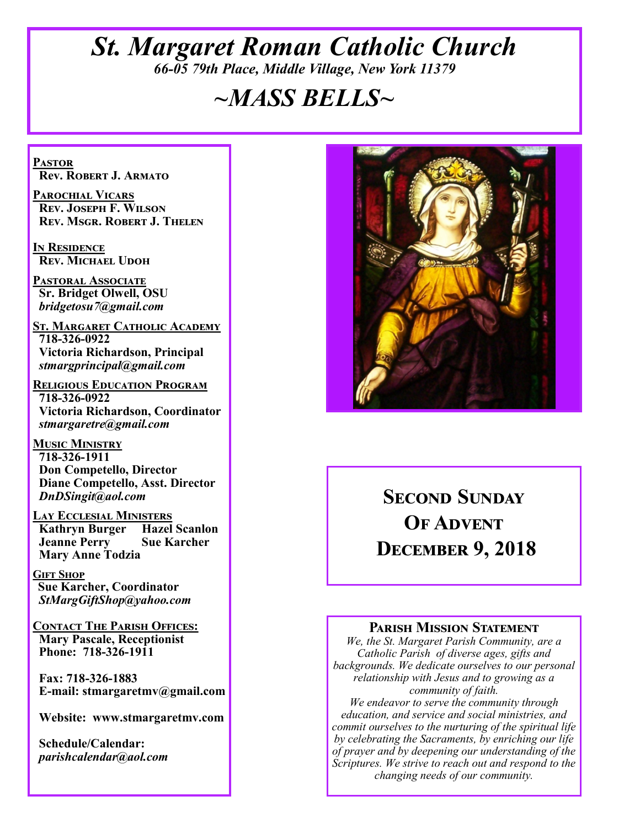## *St. Margaret Roman Catholic Church 66-05 79th Place, Middle Village, New York 11379*

## *~MASS BELLS~*

**Pastor Rev. Robert J. Armato**

**Parochial Vicars Rev. Joseph F. Wilson Rev. Msgr. Robert J. Thelen**

**In Residence Rev. Michael Udoh**

**Pastoral Associate Sr. Bridget Olwell, OSU**  *bridgetosu7@gmail.com*

**St. Margaret Catholic Academy 718-326-0922 Victoria Richardson, Principal**  *stmargprincipal@gmail.com*

**Religious Education Program 718-326-0922 Victoria Richardson, Coordinator** *stmargaretre@gmail.com*

**Music Ministry 718-326-1911 Don Competello, Director Diane Competello, Asst. Director** *DnDSingit@aol.com*

**Lay Ecclesial Ministers Kathryn Burger Jeanne Perry Sue Karcher Mary Anne Todzia**

**Gift Shop Sue Karcher, Coordinator** *StMargGiftShop@yahoo.com*

**Contact The Parish Offices: Mary Pascale, Receptionist Phone: 718-326-1911** 

 **Fax: 718-326-1883 E-mail: stmargaretmv@gmail.com**

 **Website: www.stmargaretmv.com**

 **Schedule/Calendar:** *parishcalendar@aol.com* 



## **Second Sunday OF ADVENT December 9, 2018**

#### **Parish Mission Statement**

*We, the St. Margaret Parish Community, are a Catholic Parish of diverse ages, gifts and backgrounds. We dedicate ourselves to our personal relationship with Jesus and to growing as a community of faith.*

*We endeavor to serve the community through education, and service and social ministries, and commit ourselves to the nurturing of the spiritual life by celebrating the Sacraments, by enriching our life of prayer and by deepening our understanding of the Scriptures. We strive to reach out and respond to the changing needs of our community.*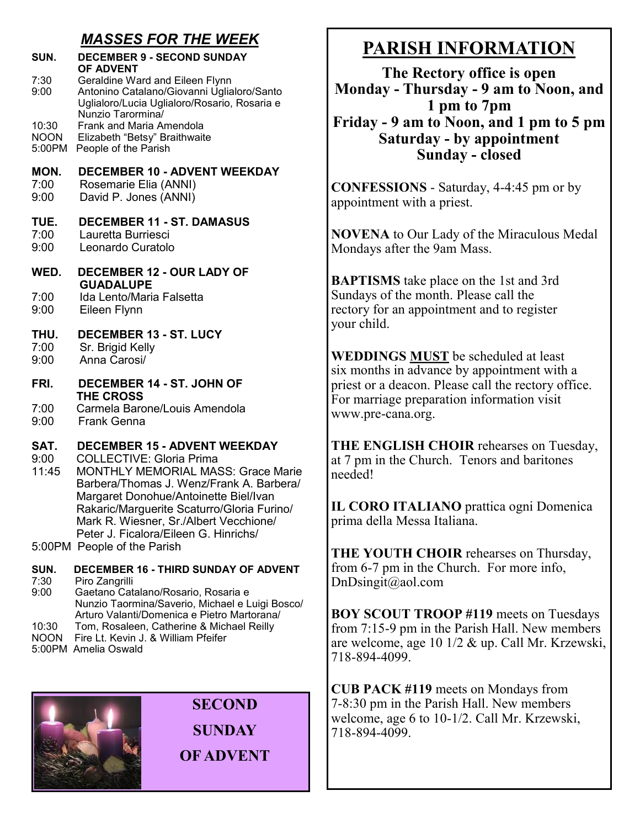### *MASSES FOR THE WEEK*

| SUN.                    | <b>DECEMBER 9 - SECOND SUNDAY</b><br><b>OF ADVENT</b>                                                                                                                                                                                                                                                                                     |
|-------------------------|-------------------------------------------------------------------------------------------------------------------------------------------------------------------------------------------------------------------------------------------------------------------------------------------------------------------------------------------|
| 7:30<br>9:00            | Geraldine Ward and Eileen Flynn<br>Antonino Catalano/Giovanni Uglialoro/Santo<br>Uglialoro/Lucia Uglialoro/Rosario, Rosaria e<br>Nunzio Tarormina/                                                                                                                                                                                        |
| 10:30<br>NOON<br>5:00PM | Frank and Maria Amendola<br>Elizabeth "Betsy" Braithwaite<br>People of the Parish                                                                                                                                                                                                                                                         |
| MON.<br>7:00<br>9:00    | <b>DECEMBER 10 - ADVENT WEEKDAY</b><br>Rosemarie Elia (ANNI)<br>David P. Jones (ANNI)                                                                                                                                                                                                                                                     |
| TUE.<br>7:00<br>9:00    | <b>DECEMBER 11 - ST. DAMASUS</b><br>Lauretta Burriesci<br>Leonardo Curatolo                                                                                                                                                                                                                                                               |
| WED.                    | <b>DECEMBER 12 - OUR LADY OF</b><br><b>GUADALUPE</b>                                                                                                                                                                                                                                                                                      |
| 7:00<br>9:00            | Ida Lento/Maria Falsetta<br>Eileen Flynn                                                                                                                                                                                                                                                                                                  |
| THU.<br>7:00<br>9:00    | <b>DECEMBER 13 - ST. LUCY</b><br>Sr. Brigid Kelly<br>Anna Carosi/                                                                                                                                                                                                                                                                         |
| FRI.                    | <b>DECEMBER 14 - ST. JOHN OF</b><br><b>THE CROSS</b>                                                                                                                                                                                                                                                                                      |
| 7:00<br>9:00            | Carmela Barone/Louis Amendola<br><b>Frank Genna</b>                                                                                                                                                                                                                                                                                       |
| SAT.<br>9:00<br>11:45   | <b>DECEMBER 15 - ADVENT WEEKDAY</b><br><b>COLLECTIVE: Gloria Prima</b><br><b>MONTHLY MEMORIAL MASS: Grace Marie</b><br>Barbera/Thomas J. Wenz/Frank A. Barbera/<br>Margaret Donohue/Antoinette Biel/Ivan<br>Rakaric/Marguerite Scaturro/Gloria Furino/<br>Mark R. Wiesner, Sr./Albert Vecchione/<br>Peter J. Ficalora/Eileen G. Hinrichs/ |
|                         | 5:00PM People of the Parish                                                                                                                                                                                                                                                                                                               |
| SUN.<br>7:30<br>9:00    | <b>DECEMBER 16 - THIRD SUNDAY OF ADVENT</b><br>Piro Zangrilli<br>Gaetano Catalano/Rosario, Rosaria e<br>Nunzio Taormina/Saverio, Michael e Luigi Bosco/<br>Arturo Valanti/Domenica e Pietro Martorana/                                                                                                                                    |

- 10:30 Tom, Rosaleen, Catherine & Michael Reilly NOON Fire Lt. Kevin J. & William Pfeifer
- 5:00PM Amelia Oswald



**SECOND SUNDAY OF ADVENT**

## **PARISH INFORMATION**

**The Rectory office is open Monday - Thursday - 9 am to Noon, and 1 pm to 7pm Friday - 9 am to Noon, and 1 pm to 5 pm Saturday - by appointment Sunday - closed**

**CONFESSIONS** - Saturday, 4-4:45 pm or by appointment with a priest.

**NOVENA** to Our Lady of the Miraculous Medal Mondays after the 9am Mass.

**BAPTISMS** take place on the 1st and 3rd Sundays of the month. Please call the rectory for an appointment and to register your child.

**WEDDINGS MUST** be scheduled at least six months in advance by appointment with a priest or a deacon. Please call the rectory office. For marriage preparation information visit www.pre-cana.org.

**THE ENGLISH CHOIR** rehearses on Tuesday, at 7 pm in the Church. Tenors and baritones needed!

**IL CORO ITALIANO** prattica ogni Domenica prima della Messa Italiana.

**THE YOUTH CHOIR** rehearses on Thursday, from 6-7 pm in the Church. For more info, DnDsingit@aol.com

**BOY SCOUT TROOP #119** meets on Tuesdays from 7:15-9 pm in the Parish Hall. New members are welcome, age 10 1/2 & up. Call Mr. Krzewski, 718-894-4099.

**CUB PACK #119** meets on Mondays from 7-8:30 pm in the Parish Hall. New members welcome, age 6 to 10-1/2. Call Mr. Krzewski, 718-894-4099.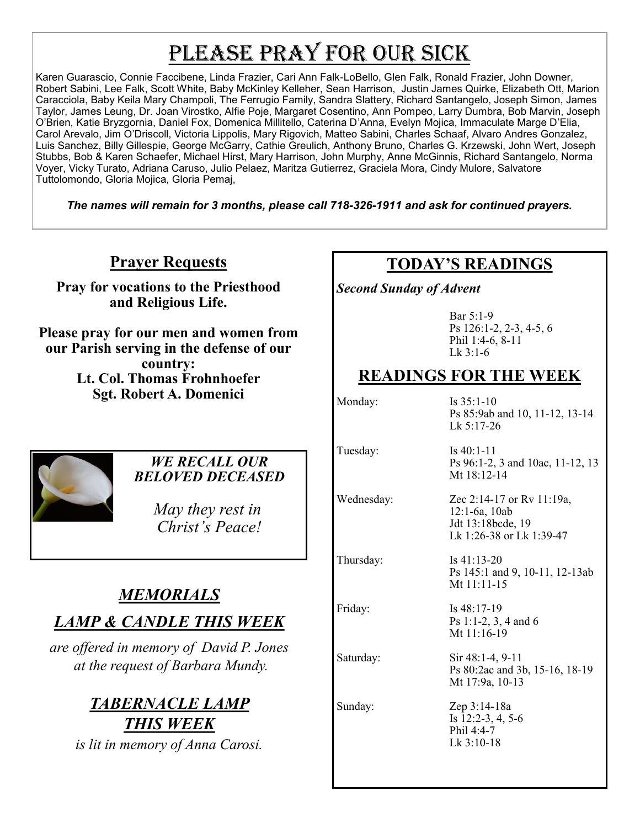# PLEASE PRAY FOR OUR SICK

Karen Guarascio, Connie Faccibene, Linda Frazier, Cari Ann Falk-LoBello, Glen Falk, Ronald Frazier, John Downer, Robert Sabini, Lee Falk, Scott White, Baby McKinley Kelleher, Sean Harrison, Justin James Quirke, Elizabeth Ott, Marion Caracciola, Baby Keila Mary Champoli, The Ferrugio Family, Sandra Slattery, Richard Santangelo, Joseph Simon, James Taylor, James Leung, Dr. Joan Virostko, Alfie Poje, Margaret Cosentino, Ann Pompeo, Larry Dumbra, Bob Marvin, Joseph O'Brien, Katie Bryzgornia, Daniel Fox, Domenica Millitello, Caterina D'Anna, Evelyn Mojica, Immaculate Marge D'Elia, Carol Arevalo, Jim O'Driscoll, Victoria Lippolis, Mary Rigovich, Matteo Sabini, Charles Schaaf, Alvaro Andres Gonzalez, Luis Sanchez, Billy Gillespie, George McGarry, Cathie Greulich, Anthony Bruno, Charles G. Krzewski, John Wert, Joseph Stubbs, Bob & Karen Schaefer, Michael Hirst, Mary Harrison, John Murphy, Anne McGinnis, Richard Santangelo, Norma Voyer, Vicky Turato, Adriana Caruso, Julio Pelaez, Maritza Gutierrez, Graciela Mora, Cindy Mulore, Salvatore Tuttolomondo, Gloria Mojica, Gloria Pemaj,

*The names will remain for 3 months, please call 718-326-1911 and ask for continued prayers.*

## **Prayer Requests**

**Pray for vocations to the Priesthood and Religious Life.** 

**Please pray for our men and women from our Parish serving in the defense of our country: Lt. Col. Thomas Frohnhoefer Sgt. Robert A. Domenici** 



#### *WE RECALL OUR BELOVED DECEASED*

 *May they rest in Christ's Peace!*

# *MEMORIALS*

## *LAMP & CANDLE THIS WEEK*

*are offered in memory of David P. Jones at the request of Barbara Mundy.*

## *TABERNACLE LAMP THIS WEEK*

*is lit in memory of Anna Carosi.* 

## **TODAY'S READINGS**

*Second Sunday of Advent* 

Bar 5:1-9 Ps 126:1-2, 2-3, 4-5, 6 Phil 1:4-6, 8-11 Lk 3:1-6

## **READINGS FOR THE WEEK**

Monday: Is 35:1-10 Ps 85:9ab and 10, 11-12, 13-14 Lk 5:17-26

Tuesday: Is 40:1-11

Ps 96:1-2, 3 and 10ac, 11-12, 13 Mt 18:12-14

Wednesday: Zec 2:14-17 or Rv 11:19a, 12:1-6a, 10ab Jdt 13:18bcde, 19 Lk 1:26-38 or Lk 1:39-47

Thursday: Is 41:13-20 Ps 145:1 and 9, 10-11, 12-13ab Mt 11:11-15

Friday: Is 48:17-19 Ps 1:1-2, 3, 4 and 6 Mt 11:16-19

Saturday: Sir 48:1-4, 9-11 Ps 80:2ac and 3b, 15-16, 18-19 Mt 17:9a, 10-13

Sunday: Zep 3:14-18a Is 12:2-3, 4, 5-6 Phil 4:4-7 Lk 3:10-18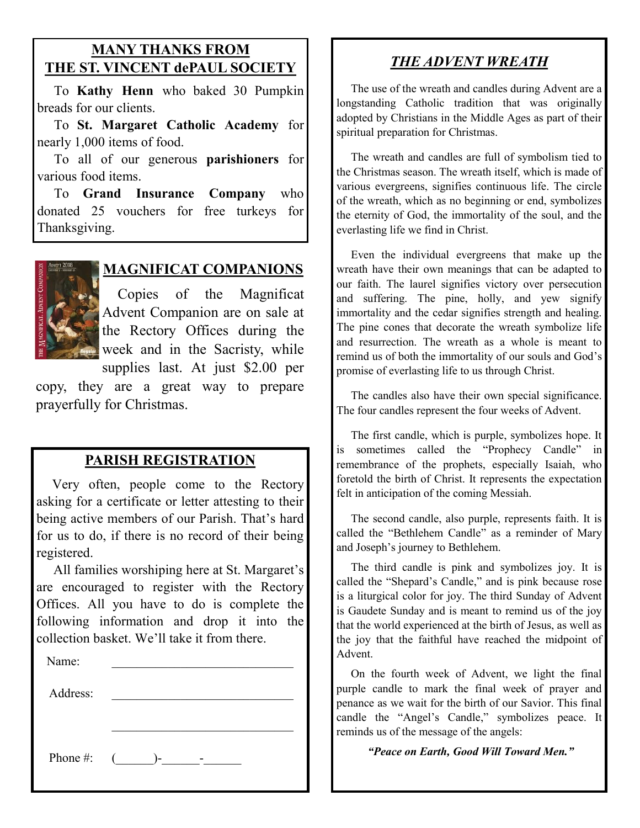#### **MANY THANKS FROM THE ST. VINCENT dePAUL SOCIETY**

 To **Kathy Henn** who baked 30 Pumpkin breads for our clients.

 To **St. Margaret Catholic Academy** for nearly 1,000 items of food.

 To all of our generous **parishioners** for various food items.

 To **Grand Insurance Company** who donated 25 vouchers for free turkeys for Thanksgiving.



#### **MAGNIFICAT COMPANIONS**

 Copies of the Magnificat Advent Companion are on sale at the Rectory Offices during the week and in the Sacristy, while supplies last. At just \$2.00 per

copy, they are a great way to prepare prayerfully for Christmas.

#### **PARISH REGISTRATION**

 Very often, people come to the Rectory asking for a certificate or letter attesting to their being active members of our Parish. That's hard for us to do, if there is no record of their being registered.

 All families worshiping here at St. Margaret's are encouraged to register with the Rectory Offices. All you have to do is complete the following information and drop it into the collection basket. We'll take it from there. Ĭ

| Name:    |                |  |
|----------|----------------|--|
| Address: |                |  |
|          |                |  |
|          |                |  |
| Phone #: | $\left($<br>)- |  |

## *THE ADVENT WREATH*

 The use of the wreath and candles during Advent are a longstanding Catholic tradition that was originally adopted by Christians in the Middle Ages as part of their spiritual preparation for Christmas.

 The wreath and candles are full of symbolism tied to the Christmas season. The wreath itself, which is made of various evergreens, signifies continuous life. The circle of the wreath, which as no beginning or end, symbolizes the eternity of God, the immortality of the soul, and the everlasting life we find in Christ.

 Even the individual evergreens that make up the wreath have their own meanings that can be adapted to our faith. The laurel signifies victory over persecution and suffering. The pine, holly, and yew signify immortality and the cedar signifies strength and healing. The pine cones that decorate the wreath symbolize life and resurrection. The wreath as a whole is meant to remind us of both the immortality of our souls and God's promise of everlasting life to us through Christ.

 The candles also have their own special significance. The four candles represent the four weeks of Advent.

 The first candle, which is purple, symbolizes hope. It is sometimes called the "Prophecy Candle" in remembrance of the prophets, especially Isaiah, who foretold the birth of Christ. It represents the expectation felt in anticipation of the coming Messiah.

 The second candle, also purple, represents faith. It is called the "Bethlehem Candle" as a reminder of Mary and Joseph's journey to Bethlehem.

 The third candle is pink and symbolizes joy. It is called the "Shepard's Candle," and is pink because rose is a liturgical color for joy. The third Sunday of Advent is Gaudete Sunday and is meant to remind us of the joy that the world experienced at the birth of Jesus, as well as the joy that the faithful have reached the midpoint of Advent.

 On the fourth week of Advent, we light the final purple candle to mark the final week of prayer and penance as we wait for the birth of our Savior. This final candle the "Angel's Candle," symbolizes peace. It reminds us of the message of the angels:

*"Peace on Earth, Good Will Toward Men."*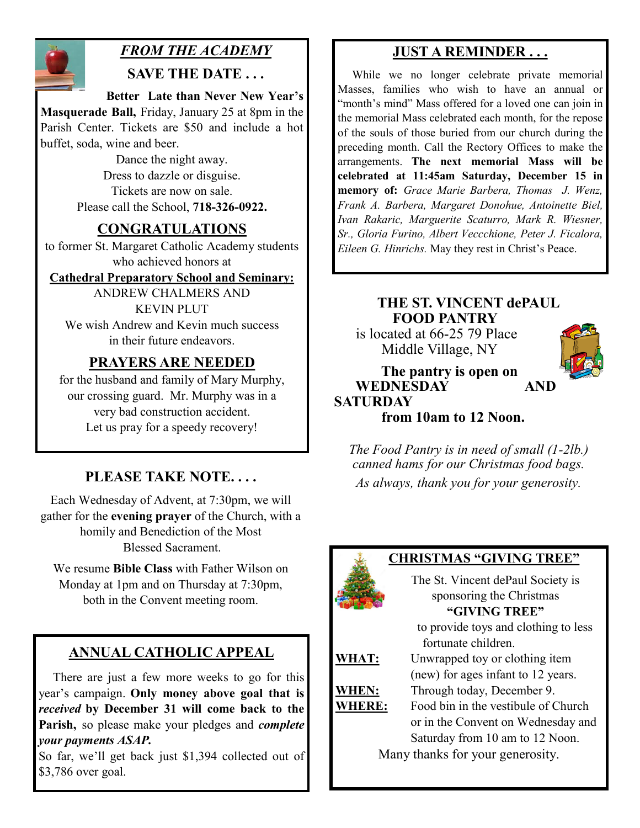

## *FROM THE ACADEMY*

#### **SAVE THE DATE . . .**

 **Better Late than Never New Year's Masquerade Ball,** Friday, January 25 at 8pm in the Parish Center. Tickets are \$50 and include a hot buffet, soda, wine and beer.

> Dance the night away. Dress to dazzle or disguise. Tickets are now on sale. Please call the School, **718-326-0922.**

### **CONGRATULATIONS**

to former St. Margaret Catholic Academy students who achieved honors at

#### **Cathedral Preparatory School and Seminary:**

ANDREW CHALMERS AND KEVIN PLUT We wish Andrew and Kevin much success in their future endeavors.

### **PRAYERS ARE NEEDED**

for the husband and family of Mary Murphy, our crossing guard. Mr. Murphy was in a very bad construction accident. Let us pray for a speedy recovery!

## **PLEASE TAKE NOTE. . . .**

Each Wednesday of Advent, at 7:30pm, we will gather for the **evening prayer** of the Church, with a homily and Benediction of the Most Blessed Sacrament.

We resume **Bible Class** with Father Wilson on Monday at 1pm and on Thursday at 7:30pm, both in the Convent meeting room.

## **ANNUAL CATHOLIC APPEAL**

 There are just a few more weeks to go for this year's campaign. **Only money above goal that is**  *received* **by December 31 will come back to the Parish,** so please make your pledges and *complete your payments ASAP.* 

So far, we'll get back just \$1,394 collected out of \$3,786 over goal.

## **JUST A REMINDER . . .**

 While we no longer celebrate private memorial Masses, families who wish to have an annual or "month's mind" Mass offered for a loved one can join in the memorial Mass celebrated each month, for the repose of the souls of those buried from our church during the preceding month. Call the Rectory Offices to make the arrangements. **The next memorial Mass will be celebrated at 11:45am Saturday, December 15 in memory of:** *Grace Marie Barbera, Thomas J. Wenz, Frank A. Barbera, Margaret Donohue, Antoinette Biel, Ivan Rakaric, Marguerite Scaturro, Mark R. Wiesner, Sr., Gloria Furino, Albert Veccchione, Peter J. Ficalora, Eileen G. Hinrichs.* May they rest in Christ's Peace.

#### **THE ST. VINCENT dePAUL FOOD PANTRY**

 is located at 66-25 79 Place Middle Village, NY



 **The pantry is open on WEDNESDAY AND SATURDAY**

 **from 10am to 12 Noon.**

*The Food Pantry is in need of small (1-2lb.) canned hams for our Christmas food bags. As always, thank you for your generosity.*



#### **CHRISTMAS "GIVING TREE"**

The St. Vincent dePaul Society is sponsoring the Christmas **"GIVING TREE"**

 to provide toys and clothing to less fortunate children.

## **WHAT:** Unwrapped toy or clothing item

(new) for ages infant to 12 years. **WHEN:** Through today, December 9.

**WHERE:** Food bin in the vestibule of Church or in the Convent on Wednesday and Saturday from 10 am to 12 Noon.

Many thanks for your generosity.